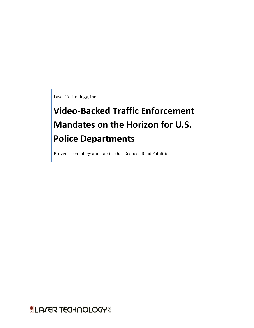Laser Technology, Inc.

# **Video-Backed Traffic Enforcement Mandates on the Horizon for U.S. Police Departments**

Proven Technology and Tactics that Reduces Road Fatalities

**BLA/ER TECHNOLOGY**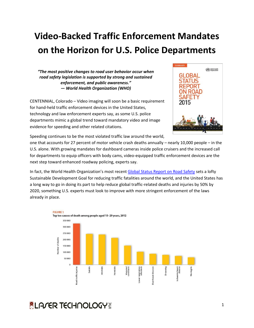# **Video-Backed Traffic Enforcement Mandates on the Horizon for U.S. Police Departments**

*"The most positive changes to road user behavior occur when road safety legislation is supported by strong and sustained enforcement, and public awareness." — World Health Organization (WHO)*

CENTENNIAL, Colorado – Video imaging will soon be a basic requirement for hand-held traffic enforcement devices in the United States, technology and law enforcement experts say, as some U.S. police departments mimic a global trend toward mandatory video and image evidence for speeding and other related citations.



Speeding continues to be the most violated traffic law around the world,

one that accounts for 27 percent of motor vehicle crash deaths annually – nearly 10,000 people – in the U.S. alone. With growing mandates for dashboard cameras inside police cruisers and the increased call for departments to equip officers with body cams, video-equipped traffic enforcement devices are the next step toward enhanced roadway policing, experts say.

In fact, the World Health Organization's most recent [Global Status Report on Road Safety](http://www.who.int/violence_injury_prevention/road_safety_status/2015/GSRRS2015_Summary_EN_final.pdf) sets a lofty Sustainable Development Goal for reducing traffic fatalities around the world, and the United States has a long way to go in doing its part to help reduce global traffic-related deaths and injuries by 50% by 2020, something U.S. experts must look to improve with more stringent enforcement of the laws already in place.



### **ALA/ER TECHNOLOGYE**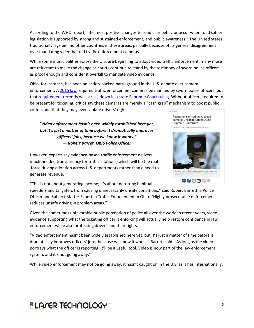According to the WHO report, "the most positive changes to road user behavior occur when road safety legislation is supported by strong and sustained enforcement, and public awareness." The United States traditionally lags behind other countries in these areas, partially because of its general disagreement over mandating video-backed traffic enforcement cameras.

While some municipalities across the U.S. are beginning to adopt video traffic enforcement, many more are reluctant to make the change as courts continue to stand by the testimony of sworn police officers as proof enough and consider it overkill to mandate video evidence.

Ohio, for instance, has been an action-packed battleground in the U.S. debate over camera enforcement. A [2015 law](http://www.cincinnati.com/story/news/2015/03/20/new-ohio-traffic-camera-bill-starts-march/24858977/) required traffic enforcement cameras be manned by sworn police officers, but that [requirement recently was struck down in a state Supreme Court ruling.](https://www.usnews.com/news/best-states/ohio/articles/2017-07-26/ohios-high-court-strikes-down-traffic-camera-restrictions) Without officers required to be present for ticketing, critics say these cameras are merely a "cash grab" mechanism to boost public coffers and that they may even violate drivers' rights.

*"Video enforcement hasn't been widely established here yet, but it's just a matter of time before it dramatically improves officers' jobs, because we know it works." — Robert Barret, Ohio Police Officer*



Restrictions on red-light, speed

However, experts say evidence-based traffic enforcement delivers much-needed transparency for traffic citations, which will be the real force driving adoption across U.S. departments rather than a need to generate revenue.

"This is not about generating income; it's about deterring habitual

speeders and tailgaters from causing unnecessarily unsafe conditions," said Robert Barrett, a Police Officer and Subject Matter Expert in Traffic Enforcement in Ohio. "Highly prosecutable enforcement reduces unsafe driving in problem areas."

Given the sometimes unfavorable public perception of police all over the world in recent years, video evidence supporting what the ticketing officer is enforcing will actually help restore confidence in law enforcement while also protecting drivers and their rights.

"Video enforcement hasn't been widely established here yet, but it's just a matter of time before it dramatically improves officers' jobs, because we know it works," Barrett said. "As long as the video portrays what the officer is reporting, it'll be a useful tool. Video is now part of the law enforcement system, and it's not going away."

While video enforcement may not be going away, it hasn't caught on in the U.S. as it has internationally.

# **ALA/ER TECHNOLOGYE**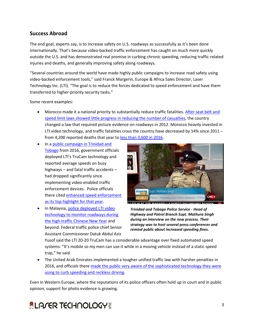#### **Success Abroad**

The end goal, experts say, is to increase safety on U.S. roadways as successfully as it's been done internationally. That's because video-backed traffic enforcement has caught on much more quickly outside the U.S. and has demonstrated real promise in curbing chronic speeding, reducing traffic-related injuries and deaths, and generally improving safety along roadways.

"Several countries around the world have made highly public campaigns to increase road safety using video-backed enforcement tools," said Franck Margerin, Europe & Africa Sales Director, Laser Technology Inc. (LTI). "The goal is to reduce the forces dedicated to speed enforcement and have them transferred to higher-priority security tasks."

Some recent examples:

- Morocco made it a national priority to substantially reduce traffic fatalities[. After seat belt and](http://www.ibtimes.com/dangerous-roads-morocco-traffic-fatalities-very-high-north-african-state-737346)  [speed limit laws showed little progress in reducing the number of casualties,](http://www.ibtimes.com/dangerous-roads-morocco-traffic-fatalities-very-high-north-african-state-737346) the country changed a law that required picture evidence on roadways in 2012. Morocco heavily invested in LTI video technology, and traffic fatalities cross the country have decreased by 14% since 2011 from 4,200 reported deaths that year t[o less than 3,600 in 2016.](https://www.moroccoworldnews.com/2017/02/208583/morocco-road-traffic-accidents-kill-thousands-each-year/)
- In a public campaign in Trinidad and [Tobago](http://www.cnc3.co.tt/news/speed-guns-come-monday) from 2016, government officials deployed LTI's TruCam technology and reported average speeds on busy highways – and fatal traffic accidents – had dropped significantly since implementing video-enabled traffic enforcement devices. Police officials there cited [enhanced speed enforcement](http://www.newsday.co.tt/businessday/0,237828.html)  [as its top highlight for that year.](http://www.newsday.co.tt/businessday/0,237828.html)
- In Malaysia, police deployed LTI video [technology to monitor roadways during](http://www.thestar.com.my/news/nation/2010/02/09/new-radar-gun-for-traffic-cops/)  [the high-traffic Chinese New Year](http://www.thestar.com.my/news/nation/2010/02/09/new-radar-gun-for-traffic-cops/) and beyond. Federal traffic police chief Senior Assistant Commissioner Datuk Abdul Aziz



*Trinidad and Tobago Police Service - Head of Highway and Patrol Branch Supt. Mathura Singh during an interview on the new process. Their strategy was to host several press conferences and remind public about increased speeding fines.* 

Yusof said the LTI 20-20 TruCam has a considerable advantage over fixed automated speed systems: "It's mobile so my men can use it while in a moving vehicle instead of a static speed trap," he said.

 The United Arab Emirates implemented a tougher unified traffic law with harsher penalties in 2016, and officials there [made the public very aware of the sophisticated technology they](http://www.khaleejtimes.com/nation/transport/rak-roads-now-monitored-with-laser-speed-gun) were [using to curb speeding and reckless driving.](http://www.khaleejtimes.com/nation/transport/rak-roads-now-monitored-with-laser-speed-gun)

Even in Western Europe, where the reputations of its police officers often hold up in court and in public opinion, support for photo evidence is growing.

## **RLA/ER TECHNOLOGYE**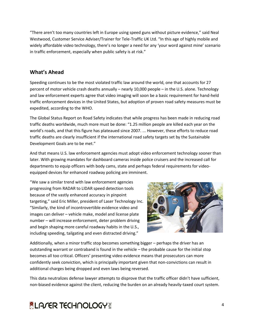"There aren't too many countries left in Europe using speed guns without picture evidence," said Neal Westwood, Customer Service Adviser/Trainer for Tele-Traffic UK Ltd. "In this age of highly mobile and widely affordable video technology, there's no longer a need for any 'your word against mine' scenario in traffic enforcement, especially when public safety is at risk."

#### **What's Ahead**

Speeding continues to be the most violated traffic law around the world, one that accounts for 27 percent of motor vehicle crash deaths annually – nearly 10,000 people – in the U.S. alone. Technology and law enforcement experts agree that video imaging will soon be a basic requirement for hand-held traffic enforcement devices in the United States, but adoption of proven road safety measures must be expedited, according to the WHO.

The Global Status Report on Road Safety indicates that while progress has been made in reducing road traffic deaths worldwide, much more must be done: "1.25 million people are killed each year on the world's roads, and that this figure has plateaued since 2007. ... However, these efforts to reduce road traffic deaths are clearly insufficient if the international road safety targets set by the Sustainable Development Goals are to be met."

And that means U.S. law enforcement agencies must adopt video enforcement technology sooner than later. With growing mandates for dashboard cameras inside police cruisers and the increased call for departments to equip officers with body cams, state and perhaps federal requirements for videoequipped devices for enhanced roadway policing are imminent.

"We saw a similar trend with law enforcement agencies progressing from RADAR to LIDAR speed detection tools because of the vastly enhanced accuracy in pinpoint targeting," said Eric Miller, president of Laser Technology Inc. "Similarly, the kind of incontrovertible evidence video and images can deliver – vehicle make, model and license plate number – will increase enforcement, deter problem driving and begin shaping more careful roadway habits in the U.S., including speeding, tailgating and even distracted driving."



Additionally, when a minor traffic stop becomes something bigger – perhaps the driver has an outstanding warrant or contraband is found in the vehicle – the probable cause for the initial stop becomes all too critical. Officers' presenting video evidence means that prosecutors can more confidently seek conviction, which is principally important given that non-convictions can result in additional charges being dropped and even laws being reversed.

This data neutralizes defense lawyer attempts to disprove that the traffic officer didn't have sufficient, non-biased evidence against the client, reducing the burden on an already heavily-taxed court system.

## **ALA/ER TECHNOLOGYE**